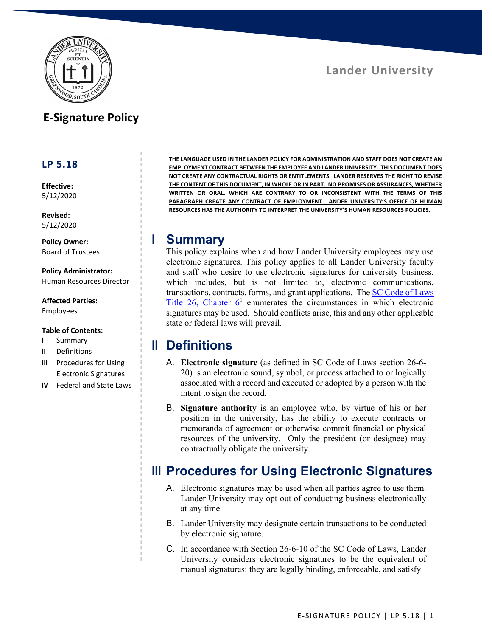

# **E-Signature Policy**

#### **LP 5.18**

**Effective:** 5/12/2020

**Revised:** 5/12/2020

**Policy Owner:** Board of Trustees

**Policy Administrator:** Human Resources Director

**Affected Parties:** Employees

#### **Table of Contents:**

- **I** Summary
- **II** Definitions
- **III** Procedures for Using Electronic Signatures
- **IV** Federal and State Laws

**THE LANGUAGE USED IN THE LANDER POLICY FOR ADMINISTRATION AND STAFF DOES NOT CREATE AN EMPLOYMENT CONTRACT BETWEEN THE EMPLOYEE AND LANDER UNIVERSITY. THIS DOCUMENT DOES NOT CREATE ANY CONTRACTUAL RIGHTS OR ENTITLEMENTS. LANDER RESERVES THE RIGHT TO REVISE THE CONTENT OF THIS DOCUMENT, IN WHOLE OR IN PART. NO PROMISES OR ASSURANCES, WHETHER WRITTEN OR ORAL, WHICH ARE CONTRARY TO OR INCONSISTENT WITH THE TERMS OF THIS PARAGRAPH CREATE ANY CONTRACT OF EMPLOYMENT. LANDER UNIVERSITY'S OFFICE OF HUMAN RESOURCES HAS THE AUTHORITY TO INTERPRET THE UNIVERSITY'S HUMAN RESOURCES POLICIES.**

#### **I Summary**

This policy explains when and how Lander University employees may use electronic signatures. This policy applies to all Lander University faculty and staff who desire to use electronic signatures for university business, which includes, but is not limited to, electronic communications, transactions, contracts, forms, and grant applications. The SC Code of Laws Title 26, Chapter  $6<sup>1</sup>$  enumerates the circumstances in which electronic signatures may be used. Should conflicts arise, this and any other applicable state or federal laws will prevail.

## **II Definitions**

- A. **Electronic signature** (as defined in SC Code of Laws section 26-6- 20) is an electronic sound, symbol, or process attached to or logically associated with a record and executed or adopted by a person with the intent to sign the record.
- B. **Signature authority** is an employee who, by virtue of his or her position in the university, has the ability to execute contracts or memoranda of agreement or otherwise commit financial or physical resources of the university. Only the president (or designee) may contractually obligate the university.

## **III Procedures for Using Electronic Signatures**

- A. Electronic signatures may be used when all parties agree to use them. Lander University may opt out of conducting business electronically at any time.
- B. Lander University may designate certain transactions to be conducted by electronic signature.
- C. In accordance with Section 26-6-10 of the SC Code of Laws, Lander University considers electronic signatures to be the equivalent of manual signatures: they are legally binding, enforceable, and satisfy

**Lander University**